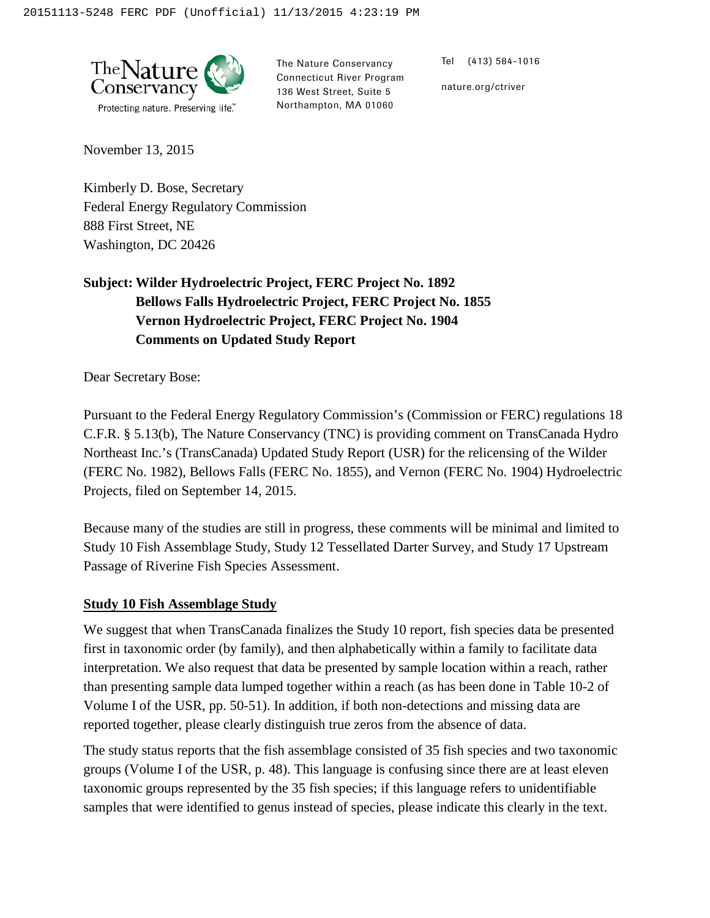

The Nature Conservancy Connecticut River Program 136 West Street, Suite 5 Northampton, MA 01060

Tel (413) 584-1016

nature.org/ctriver

November 13, 2015

Kimberly D. Bose, Secretary Federal Energy Regulatory Commission 888 First Street, NE Washington, DC 20426

## **Subject: Wilder Hydroelectric Project, FERC Project No. 1892 Bellows Falls Hydroelectric Project, FERC Project No. 1855 Vernon Hydroelectric Project, FERC Project No. 1904 Comments on Updated Study Report**

Dear Secretary Bose:

Pursuant to the Federal Energy Regulatory Commission's (Commission or FERC) regulations 18 C.F.R. § 5.13(b), The Nature Conservancy (TNC) is providing comment on TransCanada Hydro Northeast Inc.'s (TransCanada) Updated Study Report (USR) for the relicensing of the Wilder (FERC No. 1982), Bellows Falls (FERC No. 1855), and Vernon (FERC No. 1904) Hydroelectric Projects, filed on September 14, 2015.

Because many of the studies are still in progress, these comments will be minimal and limited to Study 10 Fish Assemblage Study, Study 12 Tessellated Darter Survey, and Study 17 Upstream Passage of Riverine Fish Species Assessment.

## **Study 10 Fish Assemblage Study**

We suggest that when TransCanada finalizes the Study 10 report, fish species data be presented first in taxonomic order (by family), and then alphabetically within a family to facilitate data interpretation. We also request that data be presented by sample location within a reach, rather than presenting sample data lumped together within a reach (as has been done in Table 10-2 of Volume I of the USR, pp. 50-51). In addition, if both non-detections and missing data are reported together, please clearly distinguish true zeros from the absence of data.

The study status reports that the fish assemblage consisted of 35 fish species and two taxonomic groups (Volume I of the USR, p. 48). This language is confusing since there are at least eleven taxonomic groups represented by the 35 fish species; if this language refers to unidentifiable samples that were identified to genus instead of species, please indicate this clearly in the text.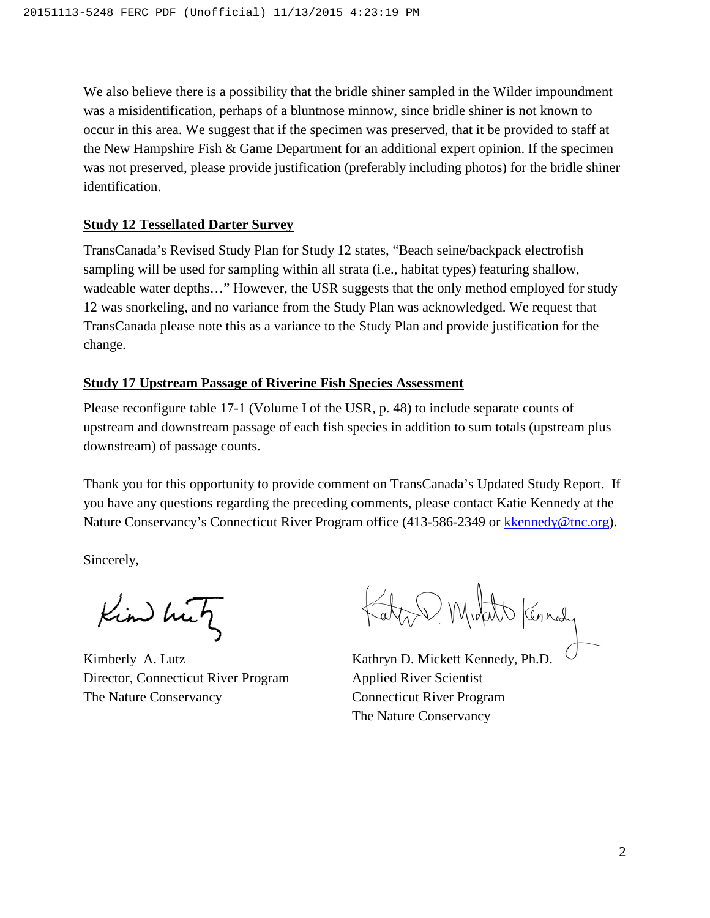We also believe there is a possibility that the bridle shiner sampled in the Wilder impoundment was a misidentification, perhaps of a bluntnose minnow, since bridle shiner is not known to occur in this area. We suggest that if the specimen was preserved, that it be provided to staff at the New Hampshire Fish & Game Department for an additional expert opinion. If the specimen was not preserved, please provide justification (preferably including photos) for the bridle shiner identification.

## **Study 12 Tessellated Darter Survey**

TransCanada's Revised Study Plan for Study 12 states, "Beach seine/backpack electrofish sampling will be used for sampling within all strata (i.e., habitat types) featuring shallow, wadeable water depths..." However, the USR suggests that the only method employed for study 12 was snorkeling, and no variance from the Study Plan was acknowledged. We request that TransCanada please note this as a variance to the Study Plan and provide justification for the change.

## **Study 17 Upstream Passage of Riverine Fish Species Assessment**

Please reconfigure table 17-1 (Volume I of the USR, p. 48) to include separate counts of upstream and downstream passage of each fish species in addition to sum totals (upstream plus downstream) of passage counts.

Thank you for this opportunity to provide comment on TransCanada's Updated Study Report. If you have any questions regarding the preceding comments, please contact Katie Kennedy at the Nature Conservancy's Connecticut River Program office (413-586-2349 or [kkennedy@tnc.org\)](mailto:kkennedy@tnc.org).

Sincerely,

Kim hut

Kimberly A. Lutz Director, Connecticut River Program The Nature Conservancy

Michell Kennedy

Kathryn D. Mickett Kennedy, Ph.D. Applied River Scientist Connecticut River Program The Nature Conservancy